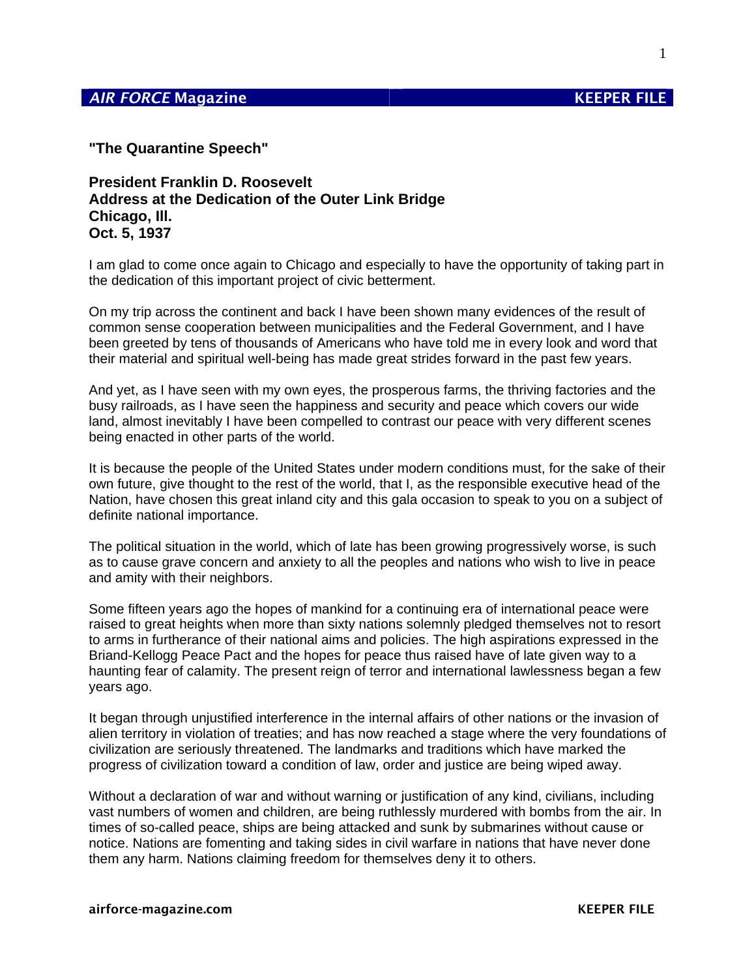**"The Quarantine Speech"** 

**President Franklin D. Roosevelt Address at the Dedication of the Outer Link Bridge Chicago, Ill. Oct. 5, 1937** 

I am glad to come once again to Chicago and especially to have the opportunity of taking part in the dedication of this important project of civic betterment.

On my trip across the continent and back I have been shown many evidences of the result of common sense cooperation between municipalities and the Federal Government, and I have been greeted by tens of thousands of Americans who have told me in every look and word that their material and spiritual well-being has made great strides forward in the past few years.

And yet, as I have seen with my own eyes, the prosperous farms, the thriving factories and the busy railroads, as I have seen the happiness and security and peace which covers our wide land, almost inevitably I have been compelled to contrast our peace with very different scenes being enacted in other parts of the world.

It is because the people of the United States under modern conditions must, for the sake of their own future, give thought to the rest of the world, that I, as the responsible executive head of the Nation, have chosen this great inland city and this gala occasion to speak to you on a subject of definite national importance.

The political situation in the world, which of late has been growing progressively worse, is such as to cause grave concern and anxiety to all the peoples and nations who wish to live in peace and amity with their neighbors.

Some fifteen years ago the hopes of mankind for a continuing era of international peace were raised to great heights when more than sixty nations solemnly pledged themselves not to resort to arms in furtherance of their national aims and policies. The high aspirations expressed in the Briand-Kellogg Peace Pact and the hopes for peace thus raised have of late given way to a haunting fear of calamity. The present reign of terror and international lawlessness began a few years ago.

It began through unjustified interference in the internal affairs of other nations or the invasion of alien territory in violation of treaties; and has now reached a stage where the very foundations of civilization are seriously threatened. The landmarks and traditions which have marked the progress of civilization toward a condition of law, order and justice are being wiped away.

Without a declaration of war and without warning or justification of any kind, civilians, including vast numbers of women and children, are being ruthlessly murdered with bombs from the air. In times of so-called peace, ships are being attacked and sunk by submarines without cause or notice. Nations are fomenting and taking sides in civil warfare in nations that have never done them any harm. Nations claiming freedom for themselves deny it to others.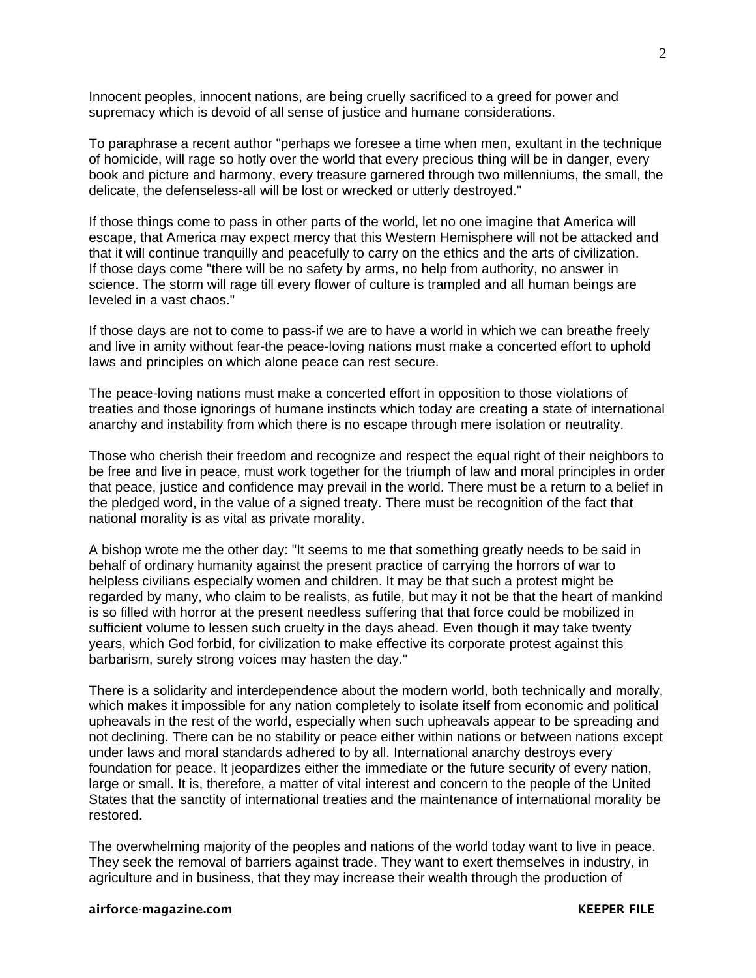Innocent peoples, innocent nations, are being cruelly sacrificed to a greed for power and supremacy which is devoid of all sense of justice and humane considerations.

To paraphrase a recent author "perhaps we foresee a time when men, exultant in the technique of homicide, will rage so hotly over the world that every precious thing will be in danger, every book and picture and harmony, every treasure garnered through two millenniums, the small, the delicate, the defenseless-all will be lost or wrecked or utterly destroyed."

If those things come to pass in other parts of the world, let no one imagine that America will escape, that America may expect mercy that this Western Hemisphere will not be attacked and that it will continue tranquilly and peacefully to carry on the ethics and the arts of civilization. If those days come "there will be no safety by arms, no help from authority, no answer in science. The storm will rage till every flower of culture is trampled and all human beings are leveled in a vast chaos."

If those days are not to come to pass-if we are to have a world in which we can breathe freely and live in amity without fear-the peace-loving nations must make a concerted effort to uphold laws and principles on which alone peace can rest secure.

The peace-loving nations must make a concerted effort in opposition to those violations of treaties and those ignorings of humane instincts which today are creating a state of international anarchy and instability from which there is no escape through mere isolation or neutrality.

Those who cherish their freedom and recognize and respect the equal right of their neighbors to be free and live in peace, must work together for the triumph of law and moral principles in order that peace, justice and confidence may prevail in the world. There must be a return to a belief in the pledged word, in the value of a signed treaty. There must be recognition of the fact that national morality is as vital as private morality.

A bishop wrote me the other day: "It seems to me that something greatly needs to be said in behalf of ordinary humanity against the present practice of carrying the horrors of war to helpless civilians especially women and children. It may be that such a protest might be regarded by many, who claim to be realists, as futile, but may it not be that the heart of mankind is so filled with horror at the present needless suffering that that force could be mobilized in sufficient volume to lessen such cruelty in the days ahead. Even though it may take twenty years, which God forbid, for civilization to make effective its corporate protest against this barbarism, surely strong voices may hasten the day."

There is a solidarity and interdependence about the modern world, both technically and morally, which makes it impossible for any nation completely to isolate itself from economic and political upheavals in the rest of the world, especially when such upheavals appear to be spreading and not declining. There can be no stability or peace either within nations or between nations except under laws and moral standards adhered to by all. International anarchy destroys every foundation for peace. It jeopardizes either the immediate or the future security of every nation, large or small. It is, therefore, a matter of vital interest and concern to the people of the United States that the sanctity of international treaties and the maintenance of international morality be restored.

The overwhelming majority of the peoples and nations of the world today want to live in peace. They seek the removal of barriers against trade. They want to exert themselves in industry, in agriculture and in business, that they may increase their wealth through the production of

## airforce-magazine.com KEEPER FILE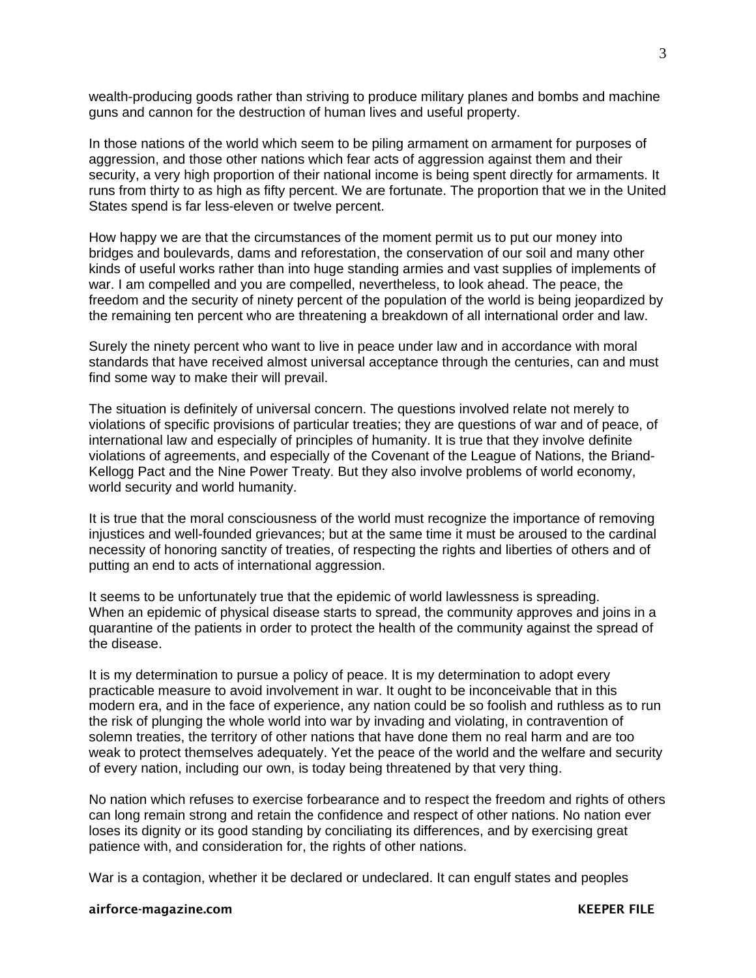wealth-producing goods rather than striving to produce military planes and bombs and machine guns and cannon for the destruction of human lives and useful property.

In those nations of the world which seem to be piling armament on armament for purposes of aggression, and those other nations which fear acts of aggression against them and their security, a very high proportion of their national income is being spent directly for armaments. It runs from thirty to as high as fifty percent. We are fortunate. The proportion that we in the United States spend is far less-eleven or twelve percent.

How happy we are that the circumstances of the moment permit us to put our money into bridges and boulevards, dams and reforestation, the conservation of our soil and many other kinds of useful works rather than into huge standing armies and vast supplies of implements of war. I am compelled and you are compelled, nevertheless, to look ahead. The peace, the freedom and the security of ninety percent of the population of the world is being jeopardized by the remaining ten percent who are threatening a breakdown of all international order and law.

Surely the ninety percent who want to live in peace under law and in accordance with moral standards that have received almost universal acceptance through the centuries, can and must find some way to make their will prevail.

The situation is definitely of universal concern. The questions involved relate not merely to violations of specific provisions of particular treaties; they are questions of war and of peace, of international law and especially of principles of humanity. It is true that they involve definite violations of agreements, and especially of the Covenant of the League of Nations, the Briand-Kellogg Pact and the Nine Power Treaty. But they also involve problems of world economy, world security and world humanity.

It is true that the moral consciousness of the world must recognize the importance of removing injustices and well-founded grievances; but at the same time it must be aroused to the cardinal necessity of honoring sanctity of treaties, of respecting the rights and liberties of others and of putting an end to acts of international aggression.

It seems to be unfortunately true that the epidemic of world lawlessness is spreading. When an epidemic of physical disease starts to spread, the community approves and joins in a quarantine of the patients in order to protect the health of the community against the spread of the disease.

It is my determination to pursue a policy of peace. It is my determination to adopt every practicable measure to avoid involvement in war. It ought to be inconceivable that in this modern era, and in the face of experience, any nation could be so foolish and ruthless as to run the risk of plunging the whole world into war by invading and violating, in contravention of solemn treaties, the territory of other nations that have done them no real harm and are too weak to protect themselves adequately. Yet the peace of the world and the welfare and security of every nation, including our own, is today being threatened by that very thing.

No nation which refuses to exercise forbearance and to respect the freedom and rights of others can long remain strong and retain the confidence and respect of other nations. No nation ever loses its dignity or its good standing by conciliating its differences, and by exercising great patience with, and consideration for, the rights of other nations.

War is a contagion, whether it be declared or undeclared. It can engulf states and peoples

## airforce-magazine.com KEEPER FILE